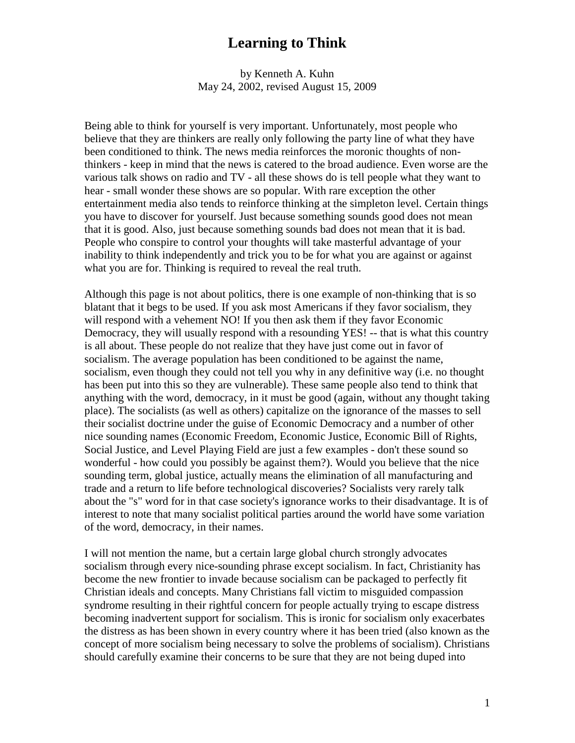by Kenneth A. Kuhn May 24, 2002, revised August 15, 2009

Being able to think for yourself is very important. Unfortunately, most people who believe that they are thinkers are really only following the party line of what they have been conditioned to think. The news media reinforces the moronic thoughts of nonthinkers - keep in mind that the news is catered to the broad audience. Even worse are the various talk shows on radio and TV - all these shows do is tell people what they want to hear - small wonder these shows are so popular. With rare exception the other entertainment media also tends to reinforce thinking at the simpleton level. Certain things you have to discover for yourself. Just because something sounds good does not mean that it is good. Also, just because something sounds bad does not mean that it is bad. People who conspire to control your thoughts will take masterful advantage of your inability to think independently and trick you to be for what you are against or against what you are for. Thinking is required to reveal the real truth.

Although this page is not about politics, there is one example of non-thinking that is so blatant that it begs to be used. If you ask most Americans if they favor socialism, they will respond with a vehement NO! If you then ask them if they favor Economic Democracy, they will usually respond with a resounding YES! -- that is what this country is all about. These people do not realize that they have just come out in favor of socialism. The average population has been conditioned to be against the name, socialism, even though they could not tell you why in any definitive way (i.e. no thought has been put into this so they are vulnerable). These same people also tend to think that anything with the word, democracy, in it must be good (again, without any thought taking place). The socialists (as well as others) capitalize on the ignorance of the masses to sell their socialist doctrine under the guise of Economic Democracy and a number of other nice sounding names (Economic Freedom, Economic Justice, Economic Bill of Rights, Social Justice, and Level Playing Field are just a few examples - don't these sound so wonderful - how could you possibly be against them?). Would you believe that the nice sounding term, global justice, actually means the elimination of all manufacturing and trade and a return to life before technological discoveries? Socialists very rarely talk about the "s" word for in that case society's ignorance works to their disadvantage. It is of interest to note that many socialist political parties around the world have some variation of the word, democracy, in their names.

I will not mention the name, but a certain large global church strongly advocates socialism through every nice-sounding phrase except socialism. In fact, Christianity has become the new frontier to invade because socialism can be packaged to perfectly fit Christian ideals and concepts. Many Christians fall victim to misguided compassion syndrome resulting in their rightful concern for people actually trying to escape distress becoming inadvertent support for socialism. This is ironic for socialism only exacerbates the distress as has been shown in every country where it has been tried (also known as the concept of more socialism being necessary to solve the problems of socialism). Christians should carefully examine their concerns to be sure that they are not being duped into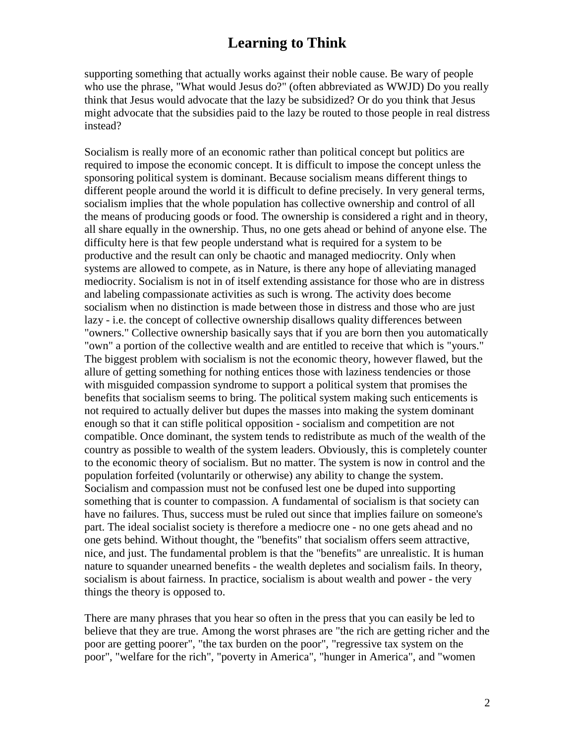supporting something that actually works against their noble cause. Be wary of people who use the phrase, "What would Jesus do?" (often abbreviated as WWJD) Do you really think that Jesus would advocate that the lazy be subsidized? Or do you think that Jesus might advocate that the subsidies paid to the lazy be routed to those people in real distress instead?

Socialism is really more of an economic rather than political concept but politics are required to impose the economic concept. It is difficult to impose the concept unless the sponsoring political system is dominant. Because socialism means different things to different people around the world it is difficult to define precisely. In very general terms, socialism implies that the whole population has collective ownership and control of all the means of producing goods or food. The ownership is considered a right and in theory, all share equally in the ownership. Thus, no one gets ahead or behind of anyone else. The difficulty here is that few people understand what is required for a system to be productive and the result can only be chaotic and managed mediocrity. Only when systems are allowed to compete, as in Nature, is there any hope of alleviating managed mediocrity. Socialism is not in of itself extending assistance for those who are in distress and labeling compassionate activities as such is wrong. The activity does become socialism when no distinction is made between those in distress and those who are just lazy - i.e. the concept of collective ownership disallows quality differences between "owners." Collective ownership basically says that if you are born then you automatically "own" a portion of the collective wealth and are entitled to receive that which is "yours." The biggest problem with socialism is not the economic theory, however flawed, but the allure of getting something for nothing entices those with laziness tendencies or those with misguided compassion syndrome to support a political system that promises the benefits that socialism seems to bring. The political system making such enticements is not required to actually deliver but dupes the masses into making the system dominant enough so that it can stifle political opposition - socialism and competition are not compatible. Once dominant, the system tends to redistribute as much of the wealth of the country as possible to wealth of the system leaders. Obviously, this is completely counter to the economic theory of socialism. But no matter. The system is now in control and the population forfeited (voluntarily or otherwise) any ability to change the system. Socialism and compassion must not be confused lest one be duped into supporting something that is counter to compassion. A fundamental of socialism is that society can have no failures. Thus, success must be ruled out since that implies failure on someone's part. The ideal socialist society is therefore a mediocre one - no one gets ahead and no one gets behind. Without thought, the "benefits" that socialism offers seem attractive, nice, and just. The fundamental problem is that the "benefits" are unrealistic. It is human nature to squander unearned benefits - the wealth depletes and socialism fails. In theory, socialism is about fairness. In practice, socialism is about wealth and power - the very things the theory is opposed to.

There are many phrases that you hear so often in the press that you can easily be led to believe that they are true. Among the worst phrases are "the rich are getting richer and the poor are getting poorer", "the tax burden on the poor", "regressive tax system on the poor", "welfare for the rich", "poverty in America", "hunger in America", and "women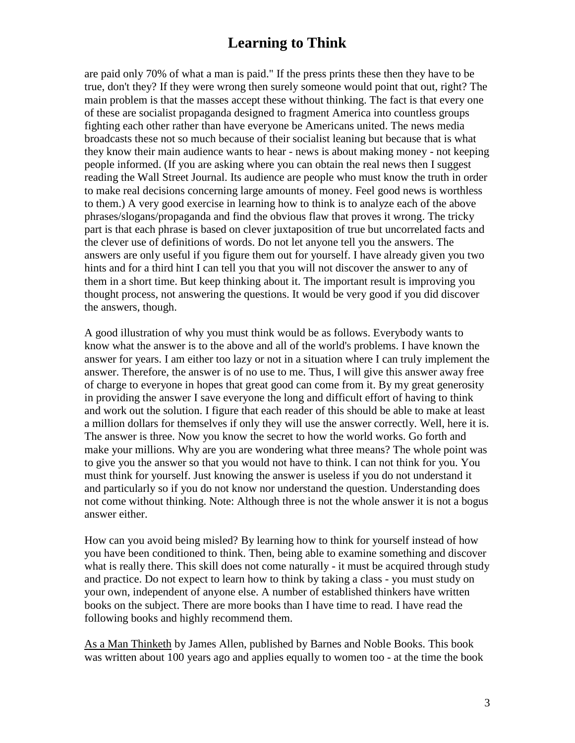are paid only 70% of what a man is paid." If the press prints these then they have to be true, don't they? If they were wrong then surely someone would point that out, right? The main problem is that the masses accept these without thinking. The fact is that every one of these are socialist propaganda designed to fragment America into countless groups fighting each other rather than have everyone be Americans united. The news media broadcasts these not so much because of their socialist leaning but because that is what they know their main audience wants to hear - news is about making money - not keeping people informed. (If you are asking where you can obtain the real news then I suggest reading the Wall Street Journal. Its audience are people who must know the truth in order to make real decisions concerning large amounts of money. Feel good news is worthless to them.) A very good exercise in learning how to think is to analyze each of the above phrases/slogans/propaganda and find the obvious flaw that proves it wrong. The tricky part is that each phrase is based on clever juxtaposition of true but uncorrelated facts and the clever use of definitions of words. Do not let anyone tell you the answers. The answers are only useful if you figure them out for yourself. I have already given you two hints and for a third hint I can tell you that you will not discover the answer to any of them in a short time. But keep thinking about it. The important result is improving you thought process, not answering the questions. It would be very good if you did discover the answers, though.

A good illustration of why you must think would be as follows. Everybody wants to know what the answer is to the above and all of the world's problems. I have known the answer for years. I am either too lazy or not in a situation where I can truly implement the answer. Therefore, the answer is of no use to me. Thus, I will give this answer away free of charge to everyone in hopes that great good can come from it. By my great generosity in providing the answer I save everyone the long and difficult effort of having to think and work out the solution. I figure that each reader of this should be able to make at least a million dollars for themselves if only they will use the answer correctly. Well, here it is. The answer is three. Now you know the secret to how the world works. Go forth and make your millions. Why are you are wondering what three means? The whole point was to give you the answer so that you would not have to think. I can not think for you. You must think for yourself. Just knowing the answer is useless if you do not understand it and particularly so if you do not know nor understand the question. Understanding does not come without thinking. Note: Although three is not the whole answer it is not a bogus answer either.

How can you avoid being misled? By learning how to think for yourself instead of how you have been conditioned to think. Then, being able to examine something and discover what is really there. This skill does not come naturally - it must be acquired through study and practice. Do not expect to learn how to think by taking a class - you must study on your own, independent of anyone else. A number of established thinkers have written books on the subject. There are more books than I have time to read. I have read the following books and highly recommend them.

As a Man Thinketh by James Allen, published by Barnes and Noble Books. This book was written about 100 years ago and applies equally to women too - at the time the book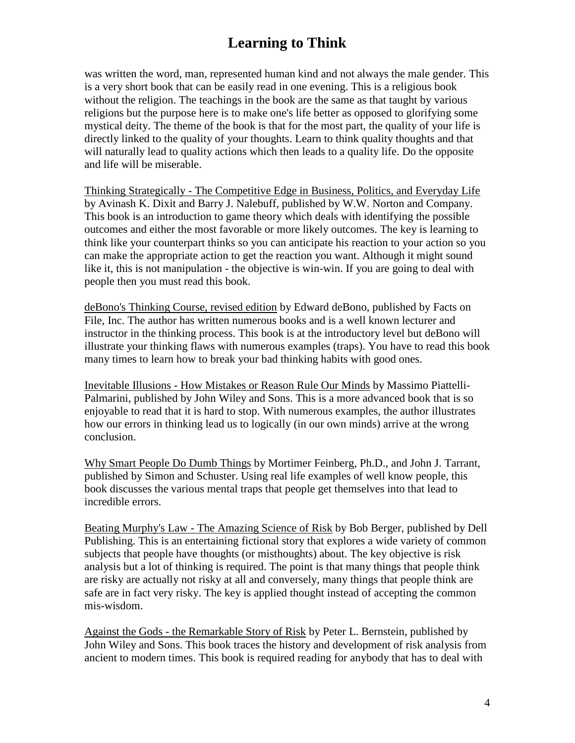was written the word, man, represented human kind and not always the male gender. This is a very short book that can be easily read in one evening. This is a religious book without the religion. The teachings in the book are the same as that taught by various religions but the purpose here is to make one's life better as opposed to glorifying some mystical deity. The theme of the book is that for the most part, the quality of your life is directly linked to the quality of your thoughts. Learn to think quality thoughts and that will naturally lead to quality actions which then leads to a quality life. Do the opposite and life will be miserable.

Thinking Strategically - The Competitive Edge in Business, Politics, and Everyday Life by Avinash K. Dixit and Barry J. Nalebuff, published by W.W. Norton and Company. This book is an introduction to game theory which deals with identifying the possible outcomes and either the most favorable or more likely outcomes. The key is learning to think like your counterpart thinks so you can anticipate his reaction to your action so you can make the appropriate action to get the reaction you want. Although it might sound like it, this is not manipulation - the objective is win-win. If you are going to deal with people then you must read this book.

deBono's Thinking Course, revised edition by Edward deBono, published by Facts on File, Inc. The author has written numerous books and is a well known lecturer and instructor in the thinking process. This book is at the introductory level but deBono will illustrate your thinking flaws with numerous examples (traps). You have to read this book many times to learn how to break your bad thinking habits with good ones.

Inevitable Illusions - How Mistakes or Reason Rule Our Minds by Massimo Piattelli-Palmarini, published by John Wiley and Sons. This is a more advanced book that is so enjoyable to read that it is hard to stop. With numerous examples, the author illustrates how our errors in thinking lead us to logically (in our own minds) arrive at the wrong conclusion.

Why Smart People Do Dumb Things by Mortimer Feinberg, Ph.D., and John J. Tarrant, published by Simon and Schuster. Using real life examples of well know people, this book discusses the various mental traps that people get themselves into that lead to incredible errors.

Beating Murphy's Law - The Amazing Science of Risk by Bob Berger, published by Dell Publishing. This is an entertaining fictional story that explores a wide variety of common subjects that people have thoughts (or misthoughts) about. The key objective is risk analysis but a lot of thinking is required. The point is that many things that people think are risky are actually not risky at all and conversely, many things that people think are safe are in fact very risky. The key is applied thought instead of accepting the common mis-wisdom.

Against the Gods - the Remarkable Story of Risk by Peter L. Bernstein, published by John Wiley and Sons. This book traces the history and development of risk analysis from ancient to modern times. This book is required reading for anybody that has to deal with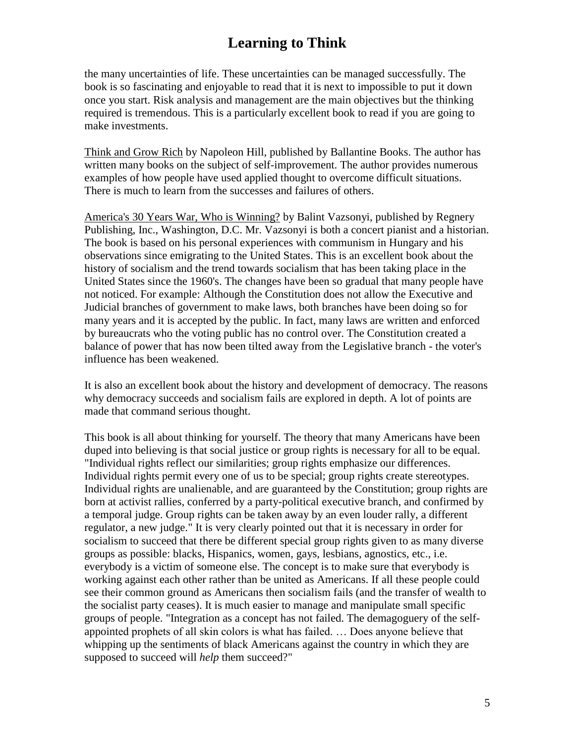the many uncertainties of life. These uncertainties can be managed successfully. The book is so fascinating and enjoyable to read that it is next to impossible to put it down once you start. Risk analysis and management are the main objectives but the thinking required is tremendous. This is a particularly excellent book to read if you are going to make investments.

Think and Grow Rich by Napoleon Hill, published by Ballantine Books. The author has written many books on the subject of self-improvement. The author provides numerous examples of how people have used applied thought to overcome difficult situations. There is much to learn from the successes and failures of others.

America's 30 Years War, Who is Winning? by Balint Vazsonyi, published by Regnery Publishing, Inc., Washington, D.C. Mr. Vazsonyi is both a concert pianist and a historian. The book is based on his personal experiences with communism in Hungary and his observations since emigrating to the United States. This is an excellent book about the history of socialism and the trend towards socialism that has been taking place in the United States since the 1960's. The changes have been so gradual that many people have not noticed. For example: Although the Constitution does not allow the Executive and Judicial branches of government to make laws, both branches have been doing so for many years and it is accepted by the public. In fact, many laws are written and enforced by bureaucrats who the voting public has no control over. The Constitution created a balance of power that has now been tilted away from the Legislative branch - the voter's influence has been weakened.

It is also an excellent book about the history and development of democracy. The reasons why democracy succeeds and socialism fails are explored in depth. A lot of points are made that command serious thought.

This book is all about thinking for yourself. The theory that many Americans have been duped into believing is that social justice or group rights is necessary for all to be equal. "Individual rights reflect our similarities; group rights emphasize our differences. Individual rights permit every one of us to be special; group rights create stereotypes. Individual rights are unalienable, and are guaranteed by the Constitution; group rights are born at activist rallies, conferred by a party-political executive branch, and confirmed by a temporal judge. Group rights can be taken away by an even louder rally, a different regulator, a new judge." It is very clearly pointed out that it is necessary in order for socialism to succeed that there be different special group rights given to as many diverse groups as possible: blacks, Hispanics, women, gays, lesbians, agnostics, etc., i.e. everybody is a victim of someone else. The concept is to make sure that everybody is working against each other rather than be united as Americans. If all these people could see their common ground as Americans then socialism fails (and the transfer of wealth to the socialist party ceases). It is much easier to manage and manipulate small specific groups of people. "Integration as a concept has not failed. The demagoguery of the selfappointed prophets of all skin colors is what has failed. … Does anyone believe that whipping up the sentiments of black Americans against the country in which they are supposed to succeed will *help* them succeed?"